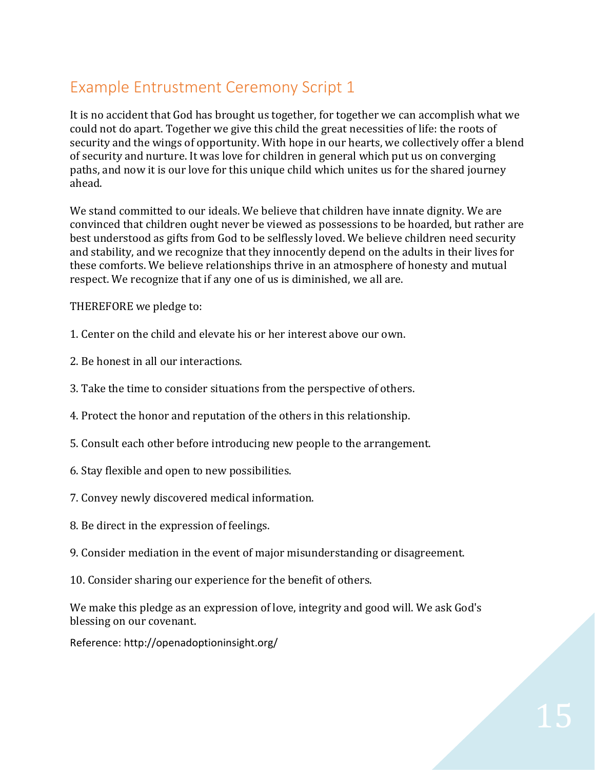## Example Entrustment Ceremony Script 1

It is no accident that God has brought us together, for together we can accomplish what we could not do apart. Together we give this child the great necessities of life: the roots of security and the wings of opportunity. With hope in our hearts, we collectively offer a blend of security and nurture. It was love for children in general which put us on converging paths, and now it is our love for this unique child which unites us for the shared journey ahead.

We stand committed to our ideals. We believe that children have innate dignity. We are convinced that children ought never be viewed as possessions to be hoarded, but rather are best understood as gifts from God to be selflessly loved. We believe children need security and stability, and we recognize that they innocently depend on the adults in their lives for these comforts. We believe relationships thrive in an atmosphere of honesty and mutual respect. We recognize that if any one of us is diminished, we all are.

THEREFORE we pledge to:

- 1. Center on the child and elevate his or her interest above our own.
- 2. Be honest in all our interactions.
- 3. Take the time to consider situations from the perspective of others.
- 4. Protect the honor and reputation of the others in this relationship.
- 5. Consult each other before introducing new people to the arrangement.
- 6. Stay flexible and open to new possibilities.
- 7. Convey newly discovered medical information.
- 8. Be direct in the expression of feelings.
- 9. Consider mediation in the event of major misunderstanding or disagreement.
- 10. Consider sharing our experience for the benefit of others.

We make this pledge as an expression of love, integrity and good will. We ask God's blessing on our covenant.

Reference: http://openadoptioninsight.org/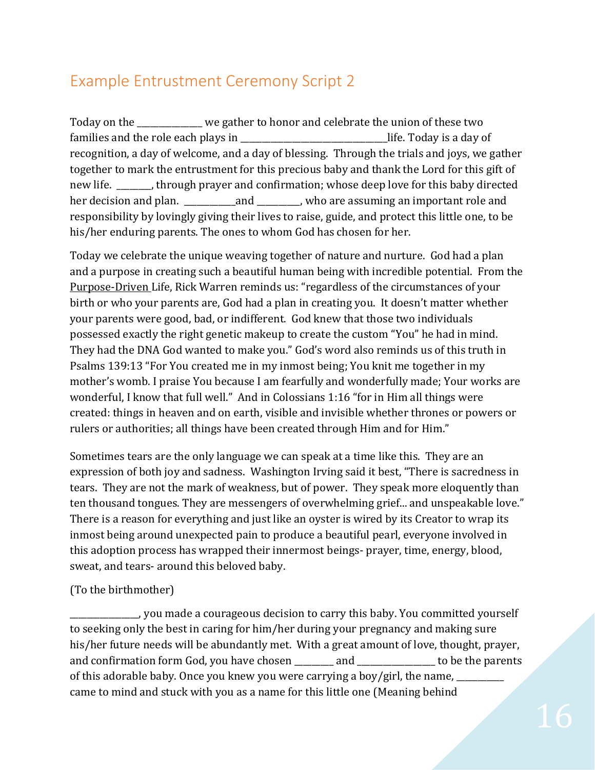## Example Entrustment Ceremony Script 2

Today on the \_\_\_\_\_\_\_\_\_\_\_\_\_\_\_ we gather to honor and celebrate the union of these two families and the role each plays in  $\Box$  life. Today is a day of recognition, a day of welcome, and a day of blessing. Through the trials and joys, we gather together to mark the entrustment for this precious baby and thank the Lord for this gift of new life. Through prayer and confirmation; whose deep love for this baby directed her decision and plan. \_\_\_\_\_\_\_\_\_\_\_\_\_\_\_\_\_\_\_\_\_\_\_\_\_, who are assuming an important role and responsibility by lovingly giving their lives to raise, guide, and protect this little one, to be his/her enduring parents. The ones to whom God has chosen for her.

Today we celebrate the unique weaving together of nature and nurture. God had a plan and a purpose in creating such a beautiful human being with incredible potential. From the Purpose-Driven Life, Rick Warren reminds us: "regardless of the circumstances of your birth or who your parents are, God had a plan in creating you. It doesn't matter whether your parents were good, bad, or indifferent. God knew that those two individuals possessed exactly the right genetic makeup to create the custom "You" he had in mind. They had the DNA God wanted to make you." God's word also reminds us of this truth in Psalms 139:13 "For You created me in my inmost being; You knit me together in my mother's womb. I praise You because I am fearfully and wonderfully made; Your works are wonderful, I know that full well." And in Colossians 1:16 "for in Him all things were created: things in heaven and on earth, visible and invisible whether thrones or powers or rulers or authorities; all things have been created through Him and for Him."

Sometimes tears are the only language we can speak at a time like this. They are an expression of both joy and sadness. Washington Irving said it best, "There is sacredness in tears. They are not the mark of weakness, but of power. They speak more eloquently than ten thousand tongues. They are messengers of overwhelming grief... and unspeakable love." There is a reason for everything and just like an oyster is wired by its Creator to wrap its inmost being around unexpected pain to produce a beautiful pearl, everyone involved in this adoption process has wrapped their innermost beings- prayer, time, energy, blood, sweat, and tears- around this beloved baby.

## (To the birthmother)

\_\_\_\_\_\_\_\_\_\_\_\_\_\_\_\_, you made a courageous decision to carry this baby. You committed yourself to seeking only the best in caring for him/her during your pregnancy and making sure his/her future needs will be abundantly met. With a great amount of love, thought, prayer, and confirmation form God, you have chosen \_\_\_\_\_\_\_\_ and \_\_\_\_\_\_\_\_\_\_\_\_\_\_\_ to be the parents of this adorable baby. Once you knew you were carrying a boy/girl, the name, \_\_\_\_\_\_\_\_\_ came to mind and stuck with you as a name for this little one (Meaning behind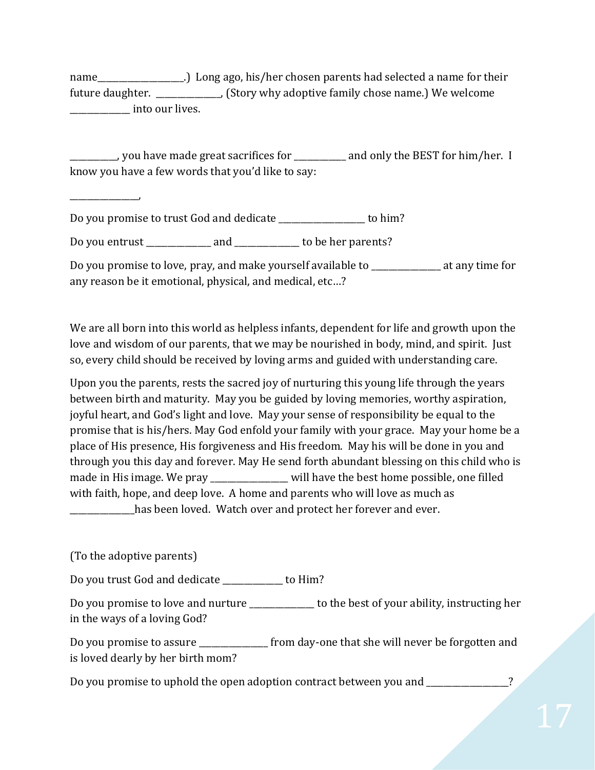name\_\_\_\_\_\_\_\_\_\_\_\_\_\_\_\_\_\_\_.) Long ago, his/her chosen parents had selected a name for their future daughter. \_\_\_\_\_\_\_\_\_\_\_\_\_\_\_, (Story why adoptive family chose name.) We welcome external into our lives.

\_\_\_\_\_\_\_\_\_\_\_, you have made great sacrifices for \_\_\_\_\_\_\_\_\_\_\_\_ and only the BEST for him/her. I know you have a few words that you'd like to say:

\_\_\_\_\_\_\_\_\_\_\_\_\_\_\_\_,

Do you promise to trust God and dedicate \_\_\_\_\_\_\_\_\_\_\_\_\_\_\_\_\_\_\_\_ to him?

Do you entrust and to be her parents?

Do you promise to love, pray, and make yourself available to \_\_\_\_\_\_\_\_\_\_\_\_\_\_\_\_ at any time for any reason be it emotional, physical, and medical, etc…?

We are all born into this world as helpless infants, dependent for life and growth upon the love and wisdom of our parents, that we may be nourished in body, mind, and spirit. Just so, every child should be received by loving arms and guided with understanding care.

Upon you the parents, rests the sacred joy of nurturing this young life through the years between birth and maturity. May you be guided by loving memories, worthy aspiration, joyful heart, and God's light and love. May your sense of responsibility be equal to the promise that is his/hers. May God enfold your family with your grace. May your home be a place of His presence, His forgiveness and His freedom. May his will be done in you and through you this day and forever. May He send forth abundant blessing on this child who is made in His image. We pray \_\_\_\_\_\_\_\_\_\_\_\_\_\_\_ will have the best home possible, one filled with faith, hope, and deep love. A home and parents who will love as much as has been loved. Watch over and protect her forever and ever.

(To the adoptive parents)

Do you trust God and dedicate \_\_\_\_\_\_\_\_\_\_\_\_\_\_ to Him?

Do you promise to love and nurture \_\_\_\_\_\_\_\_\_\_\_\_\_ to the best of your ability, instructing her in the ways of a loving God?

Do you promise to assure **the set of the state of the state will never be forgotten and** is loved dearly by her birth mom?

Do you promise to uphold the open adoption contract between you and \_\_\_\_\_\_\_\_\_\_\_\_\_\_?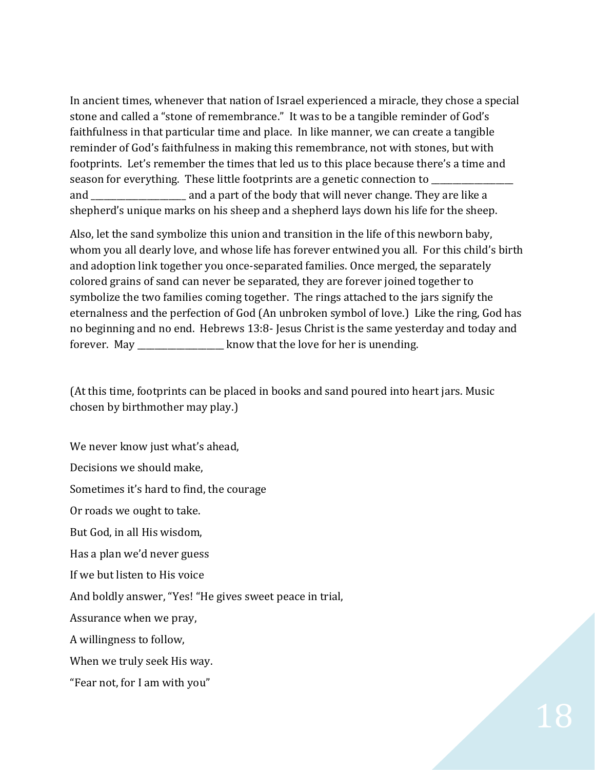In ancient times, whenever that nation of Israel experienced a miracle, they chose a special stone and called a "stone of remembrance." It was to be a tangible reminder of God's faithfulness in that particular time and place. In like manner, we can create a tangible reminder of God's faithfulness in making this remembrance, not with stones, but with footprints. Let's remember the times that led us to this place because there's a time and season for everything. These little footprints are a genetic connection to and \_\_\_\_\_\_\_\_\_\_\_\_\_\_\_\_\_\_\_\_\_\_ and a part of the body that will never change. They are like a shepherd's unique marks on his sheep and a shepherd lays down his life for the sheep.

Also, let the sand symbolize this union and transition in the life of this newborn baby, whom you all dearly love, and whose life has forever entwined you all. For this child's birth and adoption link together you once-separated families. Once merged, the separately colored grains of sand can never be separated, they are forever joined together to symbolize the two families coming together. The rings attached to the jars signify the eternalness and the perfection of God (An unbroken symbol of love.) Like the ring, God has no beginning and no end. Hebrews 13:8- Jesus Christ is the same yesterday and today and forever. May \_\_\_\_\_\_\_\_\_\_\_\_\_\_\_\_\_\_\_\_ know that the love for her is unending.

(At this time, footprints can be placed in books and sand poured into heart jars. Music chosen by birthmother may play.)

We never know just what's ahead,

Decisions we should make,

Sometimes it's hard to find, the courage

Or roads we ought to take.

But God, in all His wisdom,

Has a plan we'd never guess

If we but listen to His voice

And boldly answer, "Yes! "He gives sweet peace in trial,

Assurance when we pray,

A willingness to follow,

When we truly seek His way.

"Fear not, for I am with you"